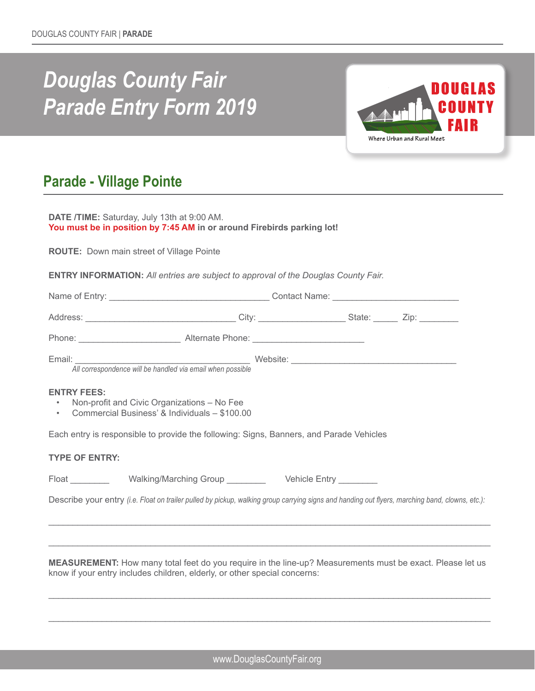# *Douglas County Fair Parade Entry Form 2019*



# **Parade - Village Pointe**

| <b>DATE /TIME:</b> Saturday, July 13th at 9:00 AM.                     |  |
|------------------------------------------------------------------------|--|
| You must be in position by 7:45 AM in or around Firebirds parking lot! |  |
|                                                                        |  |

**ROUTE:** Down main street of Village Pointe

**ENTRY INFORMATION:** *All entries are subject to approval of the Douglas County Fair.*

|                       | All correspondence will be handled via email when possible                                                                                      |  |  |  |  |  |  |  |  |  |
|-----------------------|-------------------------------------------------------------------------------------------------------------------------------------------------|--|--|--|--|--|--|--|--|--|
| <b>ENTRY FEES:</b>    | • Non-profit and Civic Organizations - No Fee<br>• Commercial Business' & Individuals - \$100.00                                                |  |  |  |  |  |  |  |  |  |
|                       | Each entry is responsible to provide the following: Signs, Banners, and Parade Vehicles                                                         |  |  |  |  |  |  |  |  |  |
| <b>TYPE OF ENTRY:</b> |                                                                                                                                                 |  |  |  |  |  |  |  |  |  |
|                       | Float ________________Walking/Marching Group ___________________________________                                                                |  |  |  |  |  |  |  |  |  |
|                       | Describe your entry (i.e. Float on trailer pulled by pickup, walking group carrying signs and handing out flyers, marching band, clowns, etc.): |  |  |  |  |  |  |  |  |  |
|                       |                                                                                                                                                 |  |  |  |  |  |  |  |  |  |
|                       |                                                                                                                                                 |  |  |  |  |  |  |  |  |  |

**MEASUREMENT:** How many total feet do you require in the line-up? Measurements must be exact. Please let us know if your entry includes children, elderly, or other special concerns:

\_\_\_\_\_\_\_\_\_\_\_\_\_\_\_\_\_\_\_\_\_\_\_\_\_\_\_\_\_\_\_\_\_\_\_\_\_\_\_\_\_\_\_\_\_\_\_\_\_\_\_\_\_\_\_\_\_\_\_\_\_\_\_\_\_\_\_\_\_\_\_\_\_\_\_\_\_\_\_\_\_\_\_\_\_\_\_\_\_\_\_

\_\_\_\_\_\_\_\_\_\_\_\_\_\_\_\_\_\_\_\_\_\_\_\_\_\_\_\_\_\_\_\_\_\_\_\_\_\_\_\_\_\_\_\_\_\_\_\_\_\_\_\_\_\_\_\_\_\_\_\_\_\_\_\_\_\_\_\_\_\_\_\_\_\_\_\_\_\_\_\_\_\_\_\_\_\_\_\_\_\_\_